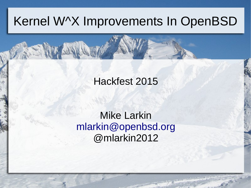#### Kernel W^X Improvements In OpenBSD

#### Hackfest 2015

#### Mike Larkin [mlarkin@openbsd.org](mailto:mlarkin@openbsd.org) @mlarkin2012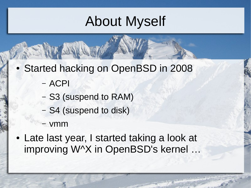#### About Myself

- Started hacking on OpenBSD in 2008
	- ACPI
	- S3 (suspend to RAM)
	- S4 (suspend to disk)
	- vmm
- Late last year, I started taking a look at improving W^X in OpenBSD's kernel ...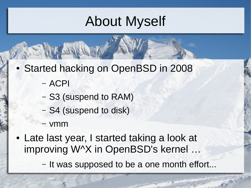#### About Myself

- Started hacking on OpenBSD in 2008
	- ACPI
	- S3 (suspend to RAM)
	- S4 (suspend to disk)
	- vmm
- Late last year, I started taking a look at improving W^X in OpenBSD's kernel ...
	- It was supposed to be a one month effort...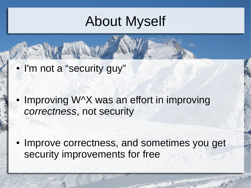#### About Myself

• I'm not a "security guy"

Improving  $W^{\wedge}X$  was an effort in improving *correctness*, not security

• Improve correctness, and sometimes you get security improvements for free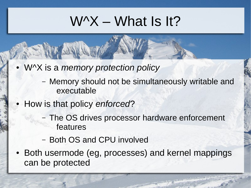#### $W^{\prime}X$  – What Is It?

- W^X is a *memory protection policy*
	- Memory should not be simultaneously writable and executable
- How is that policy *enforced*?
	- The OS drives processor hardware enforcement features
	- Both OS and CPU involved
- Both usermode (eg, processes) and kernel mappings can be protected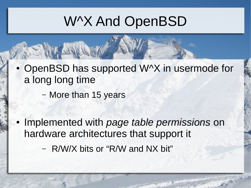#### W^X And OpenBSD

- OpenBSD has supported W^X in usermode for a long long time
	- More than 15 years
- Implemented with *page table permissions* on hardware architectures that support it
	- R/W/X bits or "R/W and NX bit"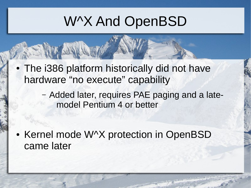#### W^X And OpenBSD

- The i386 platform historically did not have hardware "no execute" capability
	- Added later, requires PAE paging and a latemodel Pentium 4 or better

• Kernel mode W^X protection in OpenBSD came later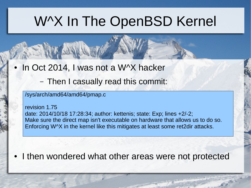#### W^X In The OpenBSD Kernel

- In Oct 2014, I was not a W^X hacker
	- Then I casually read this commit:

#### /sys/arch/amd64/amd64/pmap.c

revision 1.75 date: 2014/10/18 17:28:34; author: kettenis; state: Exp; lines +2/-2; Make sure the direct map isn't executable on hardware that allows us to do so. Enforcing W^X in the kernel like this mitigates at least some ret2dir attacks.

• I then wondered what other areas were not protected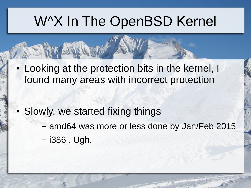#### W^X In The OpenBSD Kernel

• Looking at the protection bits in the kernel, I found many areas with incorrect protection

- Slowly, we started fixing things
	- amd64 was more or less done by Jan/Feb 2015
	- i386 . Ugh.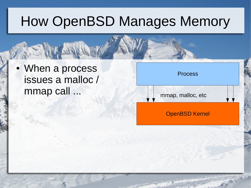• When a process issues a malloc / mmap call ...

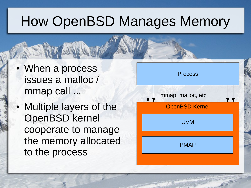- When a process issues a malloc / mmap call ...
- Multiple layers of the OpenBSD kernel cooperate to manage the memory allocated to the process

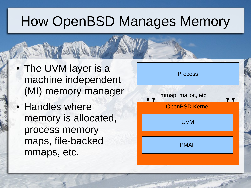- The UVM layer is a machine independent (MI) memory manager
- Handles where memory is allocated, process memory maps, file-backed mmaps, etc.

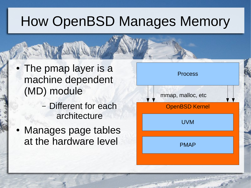- The pmap layer is a machine dependent (MD) module
	- Different for each architecture
- Manages page tables at the hardware level

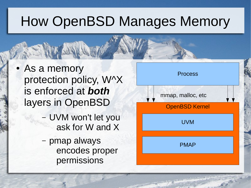- As a memory protection policy, W^X is enforced at *both* layers in OpenBSD
	- UVM won't let you ask for W and X
	- pmap always encodes proper permissions

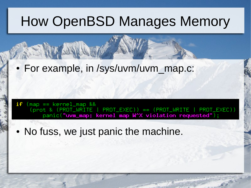#### • For example, in /sys/uvm/uvm\_map.c:

 $if$  (map == kernel\_map &&  $(pnot & (PROT_WRITE || PROT_EXEC)) == (PROT_WRITE || PROT_EXEC))$ panic("uvm\_map: kernel map W^X violation requested");

• No fuss, we just panic the machine.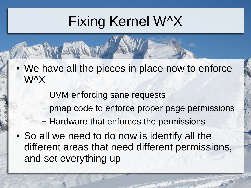## Fixing Kernel W^X

- We have all the pieces in place now to enforce W^X
	- UVM enforcing sane requests
	- pmap code to enforce proper page permissions
	- Hardware that enforces the permissions
- So all we need to do now is identify all the different areas that need different permissions, and set everything up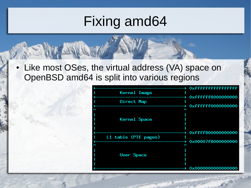• Like most OSes, the virtual address (VA) space on OpenBSD amd64 is split into various regions

| Kernel Image              |                                               |
|---------------------------|-----------------------------------------------|
| Direct Map                | 0xfffffff8000000000                           |
| N                         | 0xfffffff0000000000                           |
| Kernel Space              | 2                                             |
| L1 table (PTE pages)<br>S | 0xffff800000000000<br>0x00007f8000000000<br>2 |
| User Space                | 0x0000000000000000                            |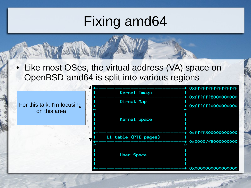• Like most OSes, the virtual address (VA) space on OpenBSD amd64 is split into various regions

|                             | <b>Kernel Image</b>  | + 0xffffffffffffffffff                       |
|-----------------------------|----------------------|----------------------------------------------|
| For this talk, I'm focusing | Direct Map           | 0xffffff800000000                            |
| on this area                | Kernel Space         | 00000000097777-+<br>w                        |
|                             | L1 table (PTE pages) | + 0xffff800000000000<br>+ 0x00007f8000000000 |
|                             | User Space           | S<br>0x0000000000000000                      |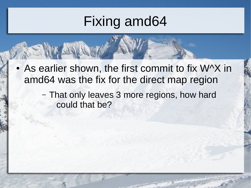- As earlier shown, the first commit to fix W^X in amd64 was the fix for the direct map region
	- That only leaves 3 more regions, how hard could that be?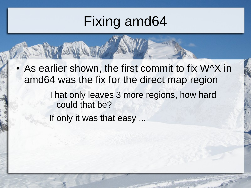- As earlier shown, the first commit to fix W^X in amd64 was the fix for the direct map region
	- That only leaves 3 more regions, how hard could that be?
	- If only it was that easy ...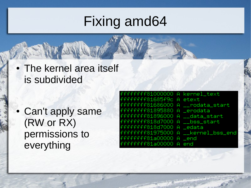• The kernel area itself is subdivided

• Can't apply same (RW or RX) permissions to everything

| fffffffff81000000 A kernel_text    |                                      |
|------------------------------------|--------------------------------------|
| fffffffff81685f9c A etext          |                                      |
| fffffffff81686000 A __rodata_start |                                      |
| fffffffff81895880 A _erodata       |                                      |
| fffffffff81896000 A __data_start   |                                      |
| fffffffff818d7000 A __bss_start    |                                      |
| fffffffff818d7000 A _edata         |                                      |
|                                    | fffffffff81975000 A __kernel_bss_end |
| fffffffff81a00000 A _end           |                                      |
| fffffffff81a00000 A end            |                                      |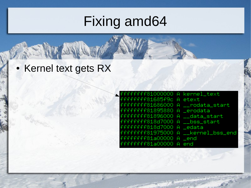• Kernel text gets RX

| fffffffff81000000 A kernel_text    |
|------------------------------------|
| fffffffff81685f9c A etext          |
| fffffffff81686000 A __rodata_start |
| fffffffff81895880 A _erodata       |
| fffffffff81896000 A __data_start   |
| fffffffff818d7000 A __bss_start    |
| fffffffff818d7000 A _edata         |
|                                    |
| fffffffff81a00000 A _end           |
| fffffffff81a00000 A end            |
|                                    |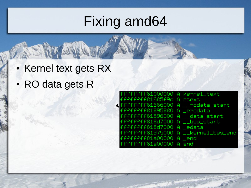- Kernel text gets RX
- RO data gets R

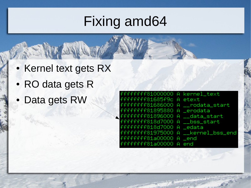- Kernel text gets RX
- RO data gets R
- Data gets RW

| fffffffff81000000 A kernel_text    |
|------------------------------------|
| fffffffff81685f9c A etext          |
| fffffffff81686000 A __rodata_start |
| fffffffff81895880 A _erodata       |
| fffffffff81896000 A __data_start   |
| fffffffff318d7000 A - bss start    |
| fffffffff818d7000 A _edata         |
|                                    |
| fffffffff81a00000 A <b>Lend</b>    |
| fffffffff81a00000 A end            |
|                                    |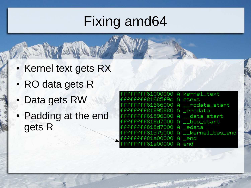- Kernel text gets RX
- RO data gets R
- Data gets RW
- Padding at the end gets R

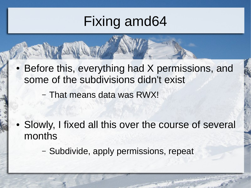- Before this, everything had X permissions, and some of the subdivisions didn't exist
	- That means data was RWX!

• Slowly, I fixed all this over the course of several months

– Subdivide, apply permissions, repeat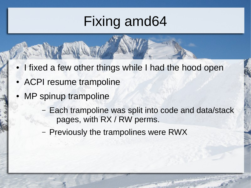- I fixed a few other things while I had the hood open
- ACPI resume trampoline
- MP spinup trampoline
	- Each trampoline was split into code and data/stack pages, with RX / RW perms.
	- Previously the trampolines were RWX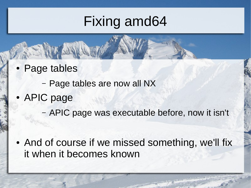• Page tables

– Page tables are now all NX

• APIC page

– APIC page was executable before, now it isn't

• And of course if we missed something, we'll fix it when it becomes known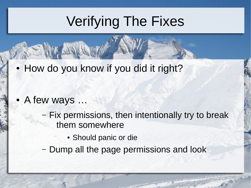## Verifying The Fixes

• How do you know if you did it right?

- A few ways ...
	- Fix permissions, then intentionally try to break them somewhere
		- Should panic or die
	- Dump all the page permissions and look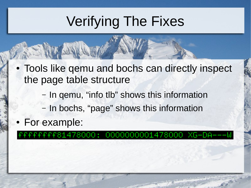# Verifying The Fixes

- Tools like gemu and bochs can directly inspect the page table structure
	- In qemu, "info tlb" shows this information
	- In bochs, "page" shows this information
- For example:

#### fffff81478000: 0000000001478000 XG-DA---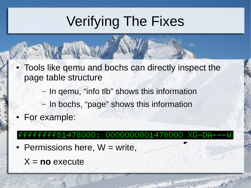# Verifying The Fixes

- Tools like gemu and bochs can directly inspect the page table structure
	- In qemu, "info tlb" shows this information
	- In bochs, "page" shows this information
- For example:

#### fffffff81478000: 0000000001478000 XG-DA---W

- Permissions here,  $W =$  write,
	- X = **no** execute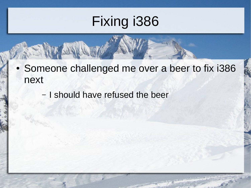- Someone challenged me over a beer to fix i386 next
	- I should have refused the beer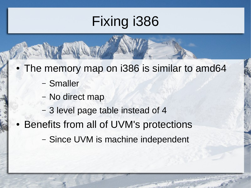- The memory map on i386 is similar to amd64
	- Smaller
	- No direct map
	- 3 level page table instead of 4
- Benefits from all of UVM's protections
	- Since UVM is machine independent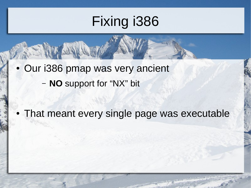• Our i386 pmap was very ancient – **NO** support for "NX" bit

• That meant every single page was executable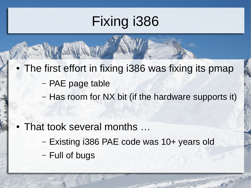- The first effort in fixing i386 was fixing its pmap
	- PAE page table
	- Has room for NX bit (if the hardware supports it)

- That took several months ...
	- Existing i386 PAE code was 10+ years old
	- Full of bugs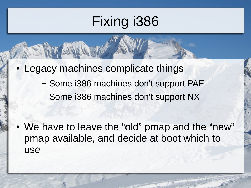- Legacy machines complicate things
	- Some i386 machines don't support PAE
	- Some i386 machines don't support NX

• We have to leave the "old" pmap and the "new" pmap available, and decide at boot which to use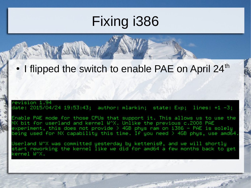#### $\cdot$  I flipped the switch to enable PAE on April 24<sup>th</sup>

#### evision 1.94° date: 2015/04/24 19:53:43; author: mlarkin; state: Exp; lines: +1 -3;

Enable PAE mode for those CPUs that support it. This allows us to use the NX bit for userland and kernel W^X. Unlike the previous c.2008 PAE  $\,$ experiment, this does not provide  $>$  4GB phys ram on i386 – PAE is solely. being used for NX capability this time. If you need  $>$  4GB phys, use amd64  $\,$ 

Userland W^X was committed yesterday by kettenis@, and we will shortly start reworking the kernel like we did for amd64 a few months back to get kernel W^X.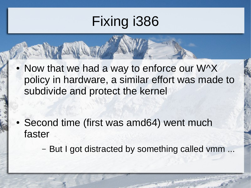$\bullet$  Now that we had a way to enforce our W^X policy in hardware, a similar effort was made to subdivide and protect the kernel

- Second time (first was amd64) went much faster
	- But I got distracted by something called vmm ...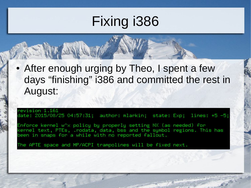• After enough urging by Theo, I spent a few days "finishing" i386 and committed the rest in August:

revision 1.161 date: 2015/08/25 04:57:31; author: mlarkin; state: Exp; lines: +5 -5;

Enforce kernel w^x policy by properly setting NX (as needed) for kernel text, PTEs, .rodata, data, bss and the symbol regions. This has been in snaps for a while with no reported fallout.

The APTE space and MP/ACPI trampolines will be fixed next.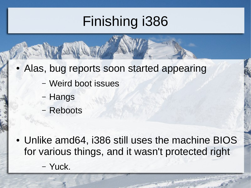## Finishing i386

- Alas, bug reports soon started appearing
	- Weird boot issues
	- Hangs
	- Reboots

• Unlike amd64, i386 still uses the machine BIOS for various things, and it wasn't protected right – Yuck.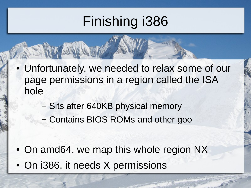### Finishing i386

- Unfortunately, we needed to relax some of our page permissions in a region called the ISA hole
	- Sits after 640KB physical memory
	- Contains BIOS ROMs and other goo

- On amd64, we map this whole region NX
- On i386, it needs X permissions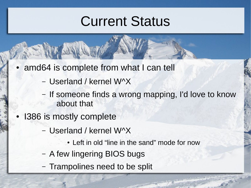#### Current Status

- amd64 is complete from what I can tell
	- Userland / kernel W^X
	- If someone finds a wrong mapping, I'd love to know about that
- **I386 is mostly complete** 
	- Userland / kernel W^X
		- Left in old "line in the sand" mode for now
	- A few lingering BIOS bugs
	- Trampolines need to be split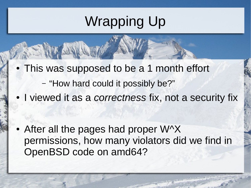#### Wrapping Up

- This was supposed to be a 1 month effort
	- "How hard could it possibly be?"
- I viewed it as a *correctness* fix, not a security fix

• After all the pages had proper  $W^{\wedge}X$ permissions, how many violators did we find in OpenBSD code on amd64?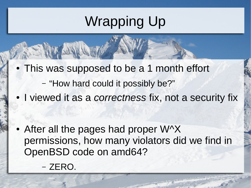### Wrapping Up

- This was supposed to be a 1 month effort
	- "How hard could it possibly be?"
- I viewed it as a *correctness* fix, not a security fix

- After all the pages had proper  $W^{\wedge}X$ permissions, how many violators did we find in OpenBSD code on amd64?
	- ZERO.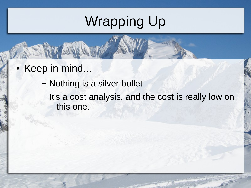## Wrapping Up

- Keep in mind...
	- Nothing is a silver bullet
	- It's a cost analysis, and the cost is really low on this one.